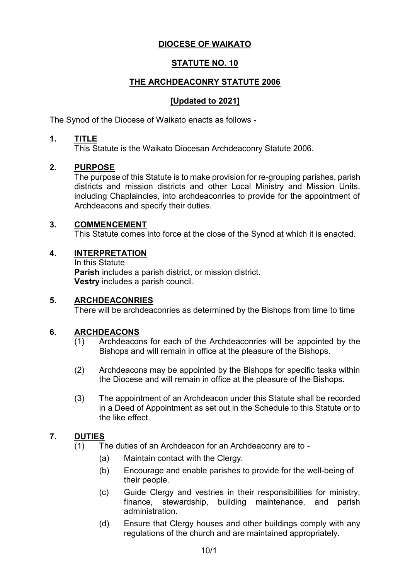# **DIOCESE OF WAIKATO**

# **STATUTE NO. 10**

# **THE ARCHDEACONRY STATUTE 2006**

## **[Updated to 2021]**

The Synod of the Diocese of Waikato enacts as follows -

#### **1. TITLE**

This Statute is the Waikato Diocesan Archdeaconry Statute 2006.

### **2. PURPOSE**

The purpose of this Statute is to make provision for re-grouping parishes, parish districts and mission districts and other Local Ministry and Mission Units, including Chaplaincies, into archdeaconries to provide for the appointment of Archdeacons and specify their duties.

#### **3. COMMENCEMENT**

This Statute comes into force at the close of the Synod at which it is enacted.

#### **4. INTERPRETATION**

In this Statute **Parish** includes a parish district, or mission district. **Vestry** includes a parish council.

#### **5. ARCHDEACONRIES**

There will be archdeaconries as determined by the Bishops from time to time

### **6. ARCHDEACONS**

- (1) Archdeacons for each of the Archdeaconries will be appointed by the Bishops and will remain in office at the pleasure of the Bishops.
- (2) Archdeacons may be appointed by the Bishops for specific tasks within the Diocese and will remain in office at the pleasure of the Bishops.
- (3) The appointment of an Archdeacon under this Statute shall be recorded in a Deed of Appointment as set out in the Schedule to this Statute or to the like effect.

### **7. DUTIES**

- (1) The duties of an Archdeacon for an Archdeaconry are to
	- (a) Maintain contact with the Clergy.
	- (b) Encourage and enable parishes to provide for the well-being of their people.
	- (c) Guide Clergy and vestries in their responsibilities for ministry, finance, stewardship, building maintenance, and parish administration.
	- (d) Ensure that Clergy houses and other buildings comply with any regulations of the church and are maintained appropriately.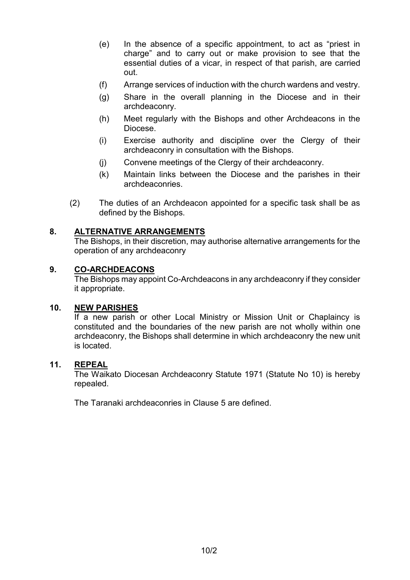- (e) In the absence of a specific appointment, to act as "priest in charge" and to carry out or make provision to see that the essential duties of a vicar, in respect of that parish, are carried out.
- (f) Arrange services of induction with the church wardens and vestry.
- (g) Share in the overall planning in the Diocese and in their archdeaconry.
- (h) Meet regularly with the Bishops and other Archdeacons in the Diocese.
- (i) Exercise authority and discipline over the Clergy of their archdeaconry in consultation with the Bishops.
- (j) Convene meetings of the Clergy of their archdeaconry.
- (k) Maintain links between the Diocese and the parishes in their archdeaconries.
- (2) The duties of an Archdeacon appointed for a specific task shall be as defined by the Bishops.

## **8. ALTERNATIVE ARRANGEMENTS**

The Bishops, in their discretion, may authorise alternative arrangements for the operation of any archdeaconry

### **9. CO-ARCHDEACONS**

The Bishops may appoint Co-Archdeacons in any archdeaconry if they consider it appropriate.

### **10. NEW PARISHES**

If a new parish or other Local Ministry or Mission Unit or Chaplaincy is constituted and the boundaries of the new parish are not wholly within one archdeaconry, the Bishops shall determine in which archdeaconry the new unit is located.

### **11. REPEAL**

The Waikato Diocesan Archdeaconry Statute 1971 (Statute No 10) is hereby repealed.

The Taranaki archdeaconries in Clause 5 are defined.